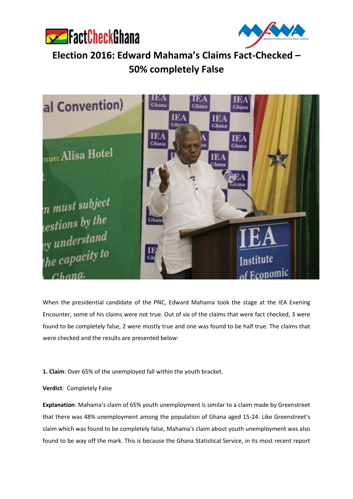



**Election 2016: Edward Mahama's Claims Fact-Checked – 50% completely False**



When the presidential candidate of the PNC, Edward Mahama took the stage at the IEA Evening Encounter, some of his claims were not true. Out of six of the claims that were fact checked, 3 were found to be completely false, 2 were mostly true and one was found to be half true. The claims that were checked and the results are presented below:

**1. Claim**: Over 65% of the unemployed fall within the youth bracket.

**Verdict**: Completely False

**Explanation**: Mahama's claim of 65% youth unemployment is similar to a claim made by Greenstreet that there was 48% unemployment among the population of Ghana aged 15-24. Like Greenstreet's claim which was found to be completely false, Mahama's claim about youth unemployment was also found to be way off the mark. This is because the Ghana Statistical Service, in its most recent report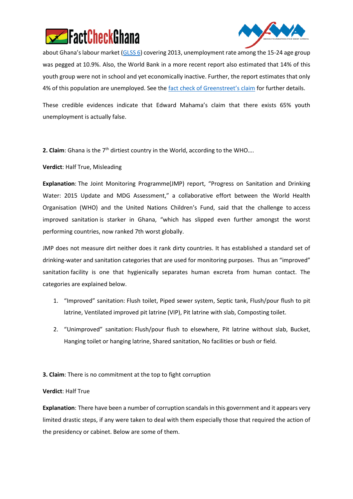



about Ghana's labour market ([GLSS 6\)](http://www.statsghana.gov.gh/docfiles/glss6/GLSS6_Main%20Report.pdf) covering 2013, unemployment rate among the 15-24 age group was pegged at 10.9%. Also, the World Bank in a more recent report also estimated that 14% of this youth group were not in school and yet economically inactive. Further, the report estimates that only 4% of this population are unemployed. See the [fact check of Greenstreet](http://www.fact-checkghana.com/wp-content/uploads/2016/08/Greenstreet-IEA-Fact-Check-Report.pdf)'s claim for further details.

These credible evidences indicate that Edward Mahama's claim that there exists 65% youth unemployment is actually false.

**2. Claim**: Ghana is the 7<sup>th</sup> dirtiest country in the World, according to the WHO....

**Verdict**: Half True, Misleading

**Explanation**: The Joint Monitoring Programme(JMP) report, "Progress on Sanitation and Drinking Water: 2015 Update and MDG Assessment," a collaborative effort between the World Health Organisation (WHO) and the United Nations Children's Fund, said that the challenge to access improved sanitation is starker in Ghana, "which has slipped even further amongst the worst performing countries, now ranked 7th worst globally.

JMP does not measure dirt neither does it rank dirty countries. It has established a standard set of drinking-water and sanitation categories that are used for monitoring purposes. Thus an "improved" sanitation facility is one that hygienically separates human excreta from human contact. The categories are explained below.

- 1. "Improved" sanitation: Flush toilet, Piped sewer system, Septic tank, Flush/pour flush to pit latrine, Ventilated improved pit latrine (VIP), Pit latrine with slab, Composting toilet.
- 2. "Unimproved" sanitation: Flush/pour flush to elsewhere, Pit latrine without slab, Bucket, Hanging toilet or hanging latrine, Shared sanitation, No facilities or bush or field.

**3. Claim**: There is no commitment at the top to fight corruption

### **Verdict**: Half True

**Explanation**: There have been a number of corruption scandals in this government and it appears very limited drastic steps, if any were taken to deal with them especially those that required the action of the presidency or cabinet. Below are some of them.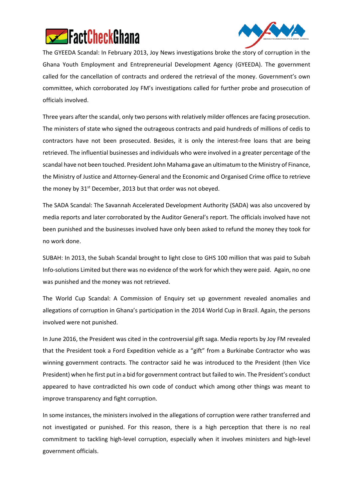



The GYEEDA Scandal: In February 2013, Joy News investigations broke the story of corruption in the Ghana Youth Employment and Entrepreneurial Development Agency (GYEEDA). The government called for the cancellation of contracts and ordered the retrieval of the money. Government's own committee, which corroborated Joy FM's investigations called for further probe and prosecution of officials involved.

Three years after the scandal, only two persons with relatively milder offences are facing prosecution. The ministers of state who signed the outrageous contracts and paid hundreds of millions of cedis to contractors have not been prosecuted. Besides, it is only the interest-free loans that are being retrieved. The influential businesses and individuals who were involved in a greater percentage of the scandal have not been touched. President John Mahama gave an ultimatum to the Ministry of Finance, the Ministry of Justice and Attorney-General and the Economic and Organised Crime office to retrieve the money by 31<sup>st</sup> December, 2013 but that order was not obeyed.

The SADA Scandal: The Savannah Accelerated Development Authority (SADA) was also uncovered by media reports and later corroborated by the Auditor General's report. The officials involved have not been punished and the businesses involved have only been asked to refund the money they took for no work done.

SUBAH: In 2013, the Subah Scandal brought to light close to GHS 100 million that was paid to Subah Info-solutions Limited but there was no evidence of the work for which they were paid. Again, no one was punished and the money was not retrieved.

The World Cup Scandal: A Commission of Enquiry set up government revealed anomalies and allegations of corruption in Ghana's participation in the 2014 World Cup in Brazil. Again, the persons involved were not punished.

In June 2016, the President was cited in the controversial gift saga. Media reports by Joy FM revealed that the President took a Ford Expedition vehicle as a "gift" from a Burkinabe Contractor who was winning government contracts. The contractor said he was introduced to the President (then Vice President) when he first put in a bid for government contract but failed to win. The President's conduct appeared to have contradicted his own code of conduct which among other things was meant to improve transparency and fight corruption.

In some instances, the ministers involved in the allegations of corruption were rather transferred and not investigated or punished. For this reason, there is a high perception that there is no real commitment to tackling high-level corruption, especially when it involves ministers and high-level government officials.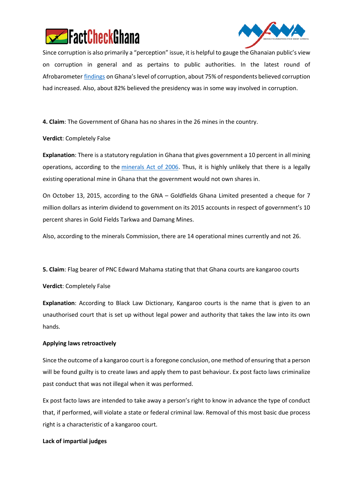



Since corruption is also primarily a "perception" issue, it is helpful to gauge the Ghanaian public's view on corruption in general and as pertains to public authorities. In the latest round of Afrobarometer [findings](http://afrobarometer.org/sites/default/files/publications/Dispatch/ab_r6_dispatchno6.pdf) on Ghana's level of corruption, about 75% of respondents believed corruption had increased. Also, about 82% believed the presidency was in some way involved in corruption.

**4. Claim**: The Government of Ghana has no shares in the 26 mines in the country.

**Verdict**: Completely False

**Explanation**: There is a statutory regulation in Ghana that gives government a 10 percent in all mining operations, according to the [minerals Act of 2006.](http://faolex.fao.org/docs/pdf/gha85046a.pdf) Thus, it is highly unlikely that there is a legally existing operational mine in Ghana that the government would not own shares in.

On October 13, 2015, according to the GNA – Goldfields Ghana Limited presented a cheque for 7 million dollars as interim dividend to government on its 2015 accounts in respect of government's 10 percent shares in Gold Fields Tarkwa and Damang Mines.

Also, according to the minerals Commission, there are 14 operational mines currently and not 26.

**5. Claim**: Flag bearer of PNC Edward Mahama stating that that Ghana courts are kangaroo courts

**Verdict**: Completely False

**Explanation**: According to Black Law Dictionary, Kangaroo courts is the name that is given to an unauthorised court that is set up without legal power and authority that takes the law into its own hands.

# **Applying laws retroactively**

Since the outcome of a kangaroo court is a foregone conclusion, one method of ensuring that a person will be found guilty is to create laws and apply them to past behaviour. Ex post facto laws criminalize past conduct that was not illegal when it was performed.

Ex post facto laws are intended to take away a person's right to know in advance the type of conduct that, if performed, will violate a state or federal criminal law. Removal of this most basic due process right is a characteristic of a kangaroo court.

# **Lack of impartial judges**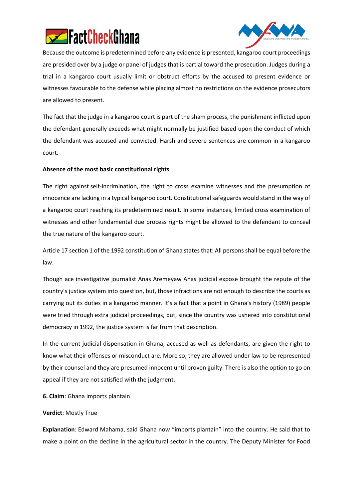



Because the outcome is predetermined before any evidence is presented, kangaroo court proceedings are presided over by a judge or panel of judges that is partial toward the prosecution. Judges during a trial in a kangaroo court usually limit or obstruct efforts by the accused to present evidence or witnesses favourable to the defense while placing almost no restrictions on the evidence prosecutors are allowed to present.

The fact that the judge in a kangaroo court is part of the sham process, the punishment inflicted upon the defendant generally exceeds what might normally be justified based upon the conduct of which the defendant was accused and convicted. Harsh and severe sentences are common in a kangaroo court.

## **Absence of the most basic constitutional rights**

The right against self-incrimination, the right to cross examine witnesses and the presumption of innocence are lacking in a typical kangaroo court. Constitutional safeguards would stand in the way of a kangaroo court reaching its predetermined result. In some instances, limited cross examination of witnesses and other fundamental due process rights might be allowed to the defendant to conceal the true nature of the kangaroo court.

Article 17 section 1 of the 1992 constitution of Ghana states that: All persons shall be equal before the law.

Though ace investigative journalist Anas Aremeyaw Anas judicial expose brought the repute of the country's justice system into question, but, those infractions are not enough to describe the courts as carrying out its duties in a kangaroo manner. It's a fact that a point in Ghana's history (1989) people were tried through extra judicial proceedings, but, since the country was ushered into constitutional democracy in 1992, the justice system is far from that description.

In the current judicial dispensation in Ghana, accused as well as defendants, are given the right to know what their offenses or misconduct are. More so, they are allowed under law to be represented by their counsel and they are presumed innocent until proven guilty. There is also the option to go on appeal if they are not satisfied with the judgment.

**6. Claim**: Ghana imports plantain

### **Verdict**: Mostly True

**Explanation**: Edward Mahama, said Ghana now "imports plantain" into the country. He said that to make a point on the decline in the agricultural sector in the country. The Deputy Minister for Food